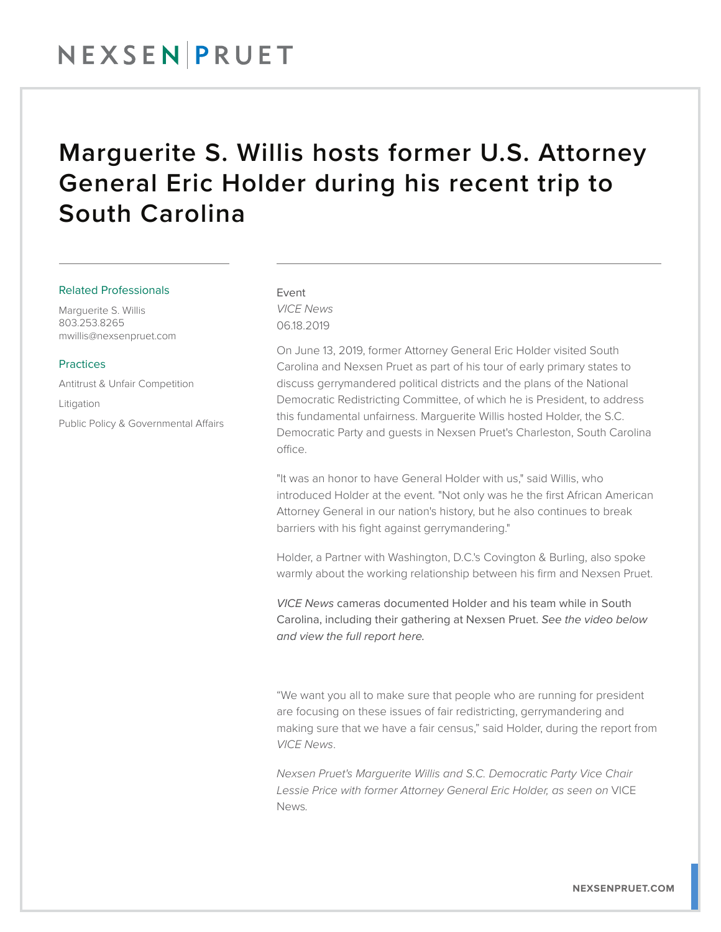## NEXSENPRUET

### Marguerite S. Willis hosts former U.S. Attorney General Eric Holder during his recent trip to South Carolina

#### Related Professionals

Marguerite S. Willis 803.253.8265 mwillis@nexsenpruet.com

#### Practices

Antitrust & Unfair Competition

Litigation Public Policy & Governmental Affairs

### Event *VICE News* 06.18.2019

On June 13, 2019, former Attorney General Eric Holder visited South Carolina and Nexsen Pruet as part of his tour of early primary states to discuss gerrymandered political districts and the plans of the National Democratic Redistricting Committee, of which he is President, to address this fundamental unfairness. Marguerite Willis hosted Holder, the S.C. Democratic Party and guests in Nexsen Pruet's Charleston, South Carolina office.

"It was an honor to have General Holder with us," said Willis, who introduced Holder at the event. "Not only was he the first African American Attorney General in our nation's history, but he also continues to break barriers with his fight against gerrymandering."

Holder, a Partner with Washington, D.C.'s Covington & Burling, also spoke warmly about the working relationship between his firm and Nexsen Pruet.

*VICE News* cameras documented Holder and his team while in South Carolina, including their gathering at Nexsen Pruet. *See the video below and view the full report here.*

"We want you all to make sure that people who are running for president are focusing on these issues of fair redistricting, gerrymandering and making sure that we have a fair census," said Holder, during the report from *VICE News*.

*Nexsen Pruet's Marguerite Willis and S.C. Democratic Party Vice Chair Lessie Price with former Attorney General Eric Holder, as seen on* VICE News*.*